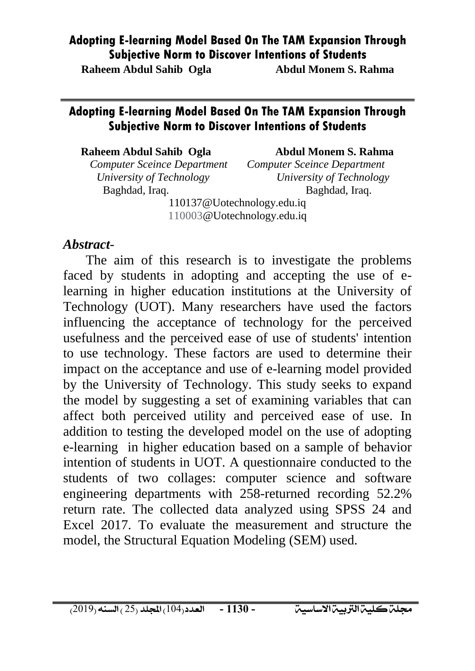**Raheem Abdul Sahib Ogla Abdul Monem S. Rahma**

#### **Adopting E-learning Model Based On The TAM Expansion Through Subjective Norm to Discover Intentions of Students**

#### **Raheem Abdul Sahib Ogla Abdul Monem S. Rahma**

*Computer Sceince Department Computer Sceince Department*  Baghdad, Iraq. Baghdad, Iraq.

*University of Technology University of Technology*

110137@Uotechnology.edu.iq 110003@Uotechnology.edu.iq

#### *Abstract-*

The aim of this research is to investigate the problems faced by students in adopting and accepting the use of elearning in higher education institutions at the University of Technology (UOT). Many researchers have used the factors influencing the acceptance of technology for the perceived usefulness and the perceived ease of use of students' intention to use technology. These factors are used to determine their impact on the acceptance and use of e-learning model provided by the University of Technology. This study seeks to expand the model by suggesting a set of examining variables that can affect both perceived utility and perceived ease of use. In addition to testing the developed model on the use of adopting e-learning in higher education based on a sample of behavior intention of students in UOT. A questionnaire conducted to the students of two collages: computer science and software engineering departments with 258-returned recording 52.2% return rate. The collected data analyzed using SPSS 24 and Excel 2017. To evaluate the measurement and structure the model, the Structural Equation Modeling (SEM) used.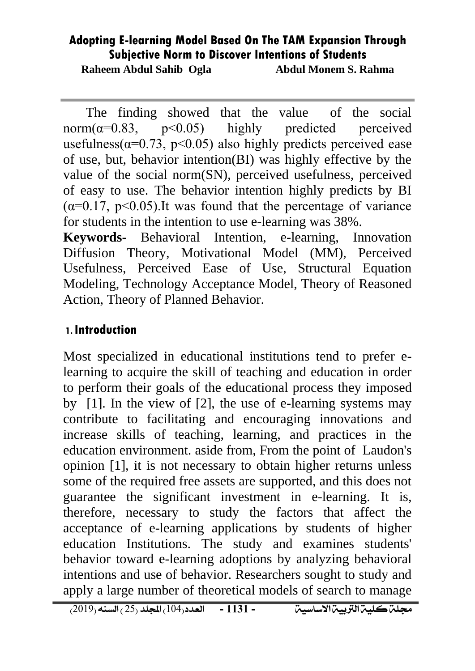**Raheem Abdul Sahib Ogla Abdul Monem S. Rahma**

The finding showed that the value of the social norm( $\alpha$ =0.83, p<0.05) highly predicted perceived usefulness( $\alpha$ =0.73, p<0.05) also highly predicts perceived ease of use, but, behavior intention(BI) was highly effective by the value of the social norm(SN), perceived usefulness, perceived of easy to use. The behavior intention highly predicts by BI  $(\alpha=0.17, p<0.05)$ . It was found that the percentage of variance for students in the intention to use e-learning was 38%.

**Keywords-** Behavioral Intention, e-learning, Innovation Diffusion Theory, Motivational Model (MM), Perceived Usefulness, Perceived Ease of Use, Structural Equation Modeling, Technology Acceptance Model, Theory of Reasoned Action, Theory of Planned Behavior.

#### **1.Introduction**

Most specialized in educational institutions tend to prefer elearning to acquire the skill of teaching and education in order to perform their goals of the educational process they imposed by [1]. In the view of [2], the use of e-learning systems may contribute to facilitating and encouraging innovations and increase skills of teaching, learning, and practices in the education environment. aside from, From the point of Laudon's opinion [1], it is not necessary to obtain higher returns unless some of the required free assets are supported, and this does not guarantee the significant investment in e-learning. It is, therefore, necessary to study the factors that affect the acceptance of e-learning applications by students of higher education Institutions. The study and examines students' behavior toward e-learning adoptions by analyzing behavioral intentions and use of behavior. Researchers sought to study and apply a large number of theoretical models of search to manage

جملةكلية الرتبية االساسية العدد)401( اجمللد )52 ( السنه )5042( **- 3313 -**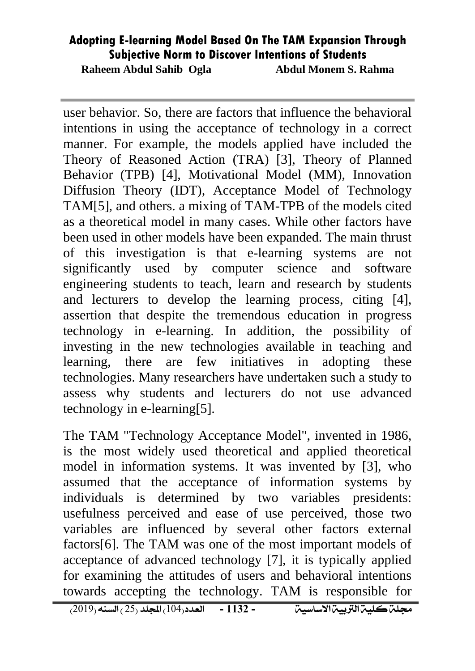**Raheem Abdul Sahib Ogla Abdul Monem S. Rahma**

user behavior. So, there are factors that influence the behavioral intentions in using the acceptance of technology in a correct manner. For example, the models applied have included the Theory of Reasoned Action (TRA) [3], Theory of Planned Behavior (TPB) [4], Motivational Model (MM), Innovation Diffusion Theory (IDT), Acceptance Model of Technology TAM[5], and others. a mixing of TAM-TPB of the models cited as a theoretical model in many cases. While other factors have been used in other models have been expanded. The main thrust of this investigation is that e-learning systems are not significantly used by computer science and software engineering students to teach, learn and research by students and lecturers to develop the learning process, citing [4], assertion that despite the tremendous education in progress technology in e-learning. In addition, the possibility of investing in the new technologies available in teaching and learning, there are few initiatives in adopting these technologies. Many researchers have undertaken such a study to assess why students and lecturers do not use advanced technology in e-learning[5].

The TAM "Technology Acceptance Model", invented in 1986, is the most widely used theoretical and applied theoretical model in information systems. It was invented by [3], who assumed that the acceptance of information systems by individuals is determined by two variables presidents: usefulness perceived and ease of use perceived, those two variables are influenced by several other factors external factors[6]. The TAM was one of the most important models of acceptance of advanced technology [7], it is typically applied for examining the attitudes of users and behavioral intentions towards accepting the technology. TAM is responsible for

جملةكلية الرتبية االساسية العدد)401( اجمللد )52 ( السنه )5042( **- 3311 -**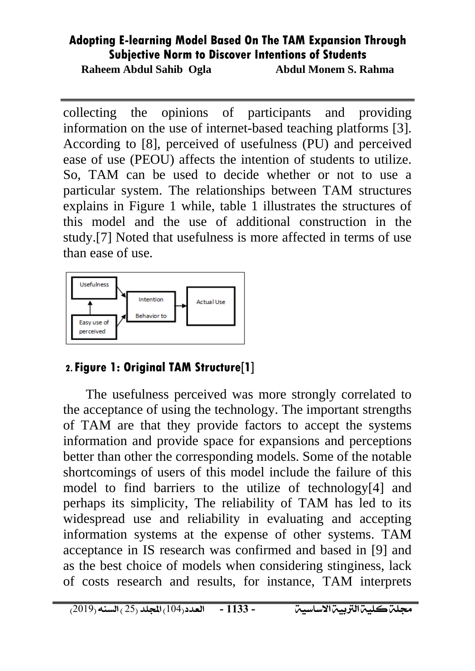**Raheem Abdul Sahib Ogla Abdul Monem S. Rahma**

collecting the opinions of participants and providing information on the use of internet-based teaching platforms [3]. According to [8], perceived of usefulness (PU) and perceived ease of use (PEOU) affects the intention of students to utilize. So, TAM can be used to decide whether or not to use a particular system. The relationships between TAM structures explains in Figure 1 while, table 1 illustrates the structures of this model and the use of additional construction in the study.[7] Noted that usefulness is more affected in terms of use than ease of use.



## **2.Figure 1: Original TAM Structure[1]**

The usefulness perceived was more strongly correlated to the acceptance of using the technology. The important strengths of TAM are that they provide factors to accept the systems information and provide space for expansions and perceptions better than other the corresponding models. Some of the notable shortcomings of users of this model include the failure of this model to find barriers to the utilize of technology[4] and perhaps its simplicity, The reliability of TAM has led to its widespread use and reliability in evaluating and accepting information systems at the expense of other systems. TAM acceptance in IS research was confirmed and based in [9] and as the best choice of models when considering stinginess, lack of costs research and results, for instance, TAM interprets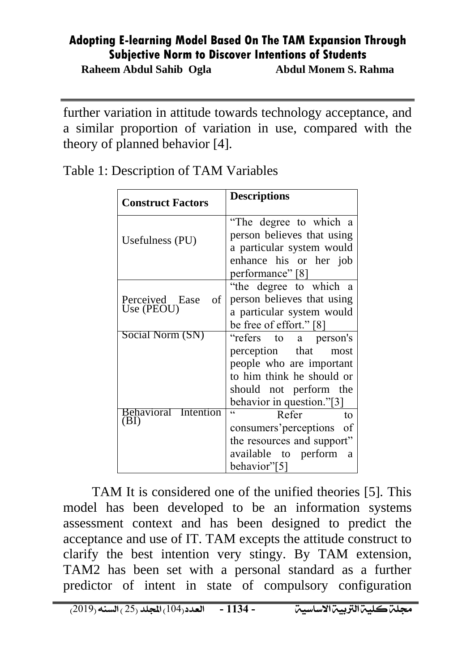**Raheem Abdul Sahib Ogla Abdul Monem S. Rahma**

further variation in attitude towards technology acceptance, and a similar proportion of variation in use, compared with the theory of planned behavior [4].

| <b>Construct Factors</b>                 | <b>Descriptions</b>                                                                                                                                                             |
|------------------------------------------|---------------------------------------------------------------------------------------------------------------------------------------------------------------------------------|
| Usefulness (PU)                          | "The degree to which a<br>person believes that using<br>a particular system would<br>enhance his or her job<br>performance" [8]                                                 |
| Perceived Ease<br>of<br>Use (PEOU)       | "the degree to which a<br>person believes that using<br>a particular system would<br>be free of effort." [8]                                                                    |
| Social Norm (SN)<br>Behavioral Intention | "refers to a person's<br>perception that<br>most<br>people who are important<br>to him think he should or<br>should not perform the<br>behavior in question."[3]<br>Refer<br>to |
| (BI)                                     | consumers' perceptions<br>of<br>the resources and support"<br>available to perform<br>a<br>behavior"[5]                                                                         |

Table 1: Description of TAM Variables

TAM It is considered one of the unified theories [5]. This model has been developed to be an information systems assessment context and has been designed to predict the acceptance and use of IT. TAM excepts the attitude construct to clarify the best intention very stingy. By TAM extension, TAM2 has been set with a personal standard as a further predictor of intent in state of compulsory configuration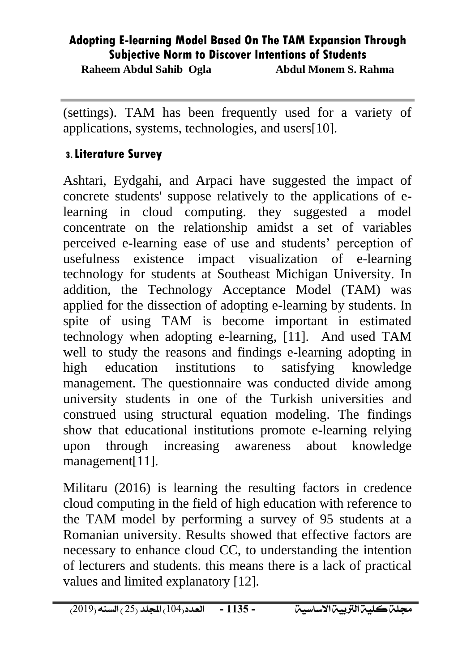**Raheem Abdul Sahib Ogla Abdul Monem S. Rahma**

(settings). TAM has been frequently used for a variety of applications, systems, technologies, and users[10].

#### **3.Literature Survey**

Ashtari, Eydgahi, and Arpaci have suggested the impact of concrete students' suppose relatively to the applications of elearning in cloud computing. they suggested a model concentrate on the relationship amidst a set of variables perceived e-learning ease of use and students' perception of usefulness existence impact visualization of e-learning technology for students at Southeast Michigan University. In addition, the Technology Acceptance Model (TAM) was applied for the dissection of adopting e-learning by students. In spite of using TAM is become important in estimated technology when adopting e-learning, [11]. And used TAM well to study the reasons and findings e-learning adopting in high education institutions to satisfying knowledge management. The questionnaire was conducted divide among university students in one of the Turkish universities and construed using structural equation modeling. The findings show that educational institutions promote e-learning relying upon through increasing awareness about knowledge management[11].

Militaru (2016) is learning the resulting factors in credence cloud computing in the field of high education with reference to the TAM model by performing a survey of 95 students at a Romanian university. Results showed that effective factors are necessary to enhance cloud CC, to understanding the intention of lecturers and students. this means there is a lack of practical values and limited explanatory [12].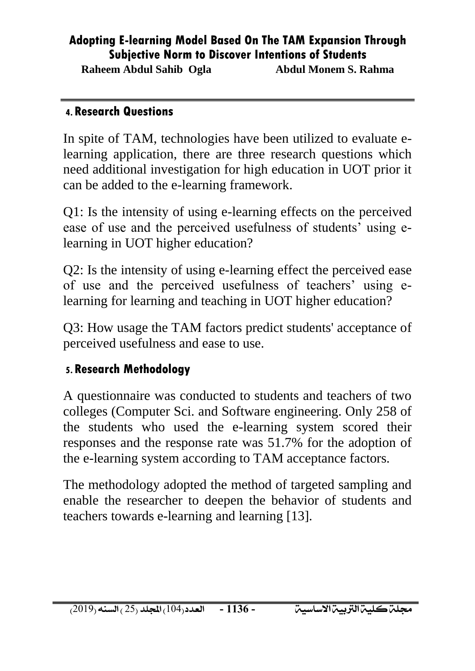**Raheem Abdul Sahib Ogla Abdul Monem S. Rahma**

#### **4.Research Questions**

In spite of TAM, technologies have been utilized to evaluate elearning application, there are three research questions which need additional investigation for high education in UOT prior it can be added to the e-learning framework.

Q1: Is the intensity of using e-learning effects on the perceived ease of use and the perceived usefulness of students' using elearning in UOT higher education?

Q2: Is the intensity of using e-learning effect the perceived ease of use and the perceived usefulness of teachers' using elearning for learning and teaching in UOT higher education?

Q3: How usage the TAM factors predict students' acceptance of perceived usefulness and ease to use.

#### **5.Research Methodology**

A questionnaire was conducted to students and teachers of two colleges (Computer Sci. and Software engineering. Only 258 of the students who used the e-learning system scored their responses and the response rate was 51.7% for the adoption of the e-learning system according to TAM acceptance factors.

The methodology adopted the method of targeted sampling and enable the researcher to deepen the behavior of students and teachers towards e-learning and learning [13].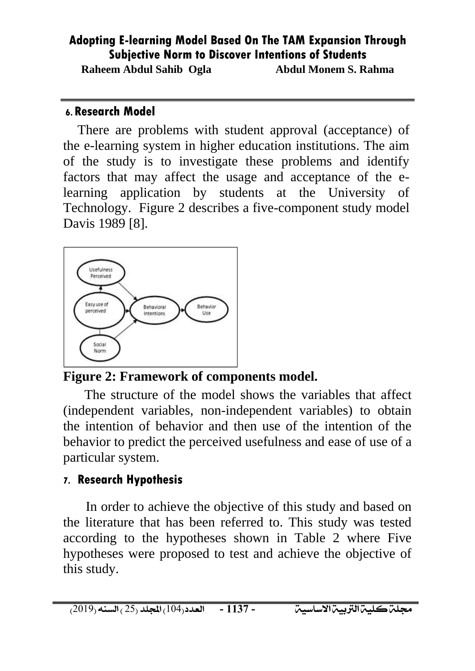**Raheem Abdul Sahib Ogla Abdul Monem S. Rahma**

#### **6.Research Model**

There are problems with student approval (acceptance) of the e-learning system in higher education institutions. The aim of the study is to investigate these problems and identify factors that may affect the usage and acceptance of the elearning application by students at the University of Technology. Figure 2 describes a five-component study model Davis 1989 [8].



## **Figure 2: Framework of components model.**

The structure of the model shows the variables that affect (independent variables, non-independent variables) to obtain the intention of behavior and then use of the intention of the behavior to predict the perceived usefulness and ease of use of a particular system.

## **7. Research Hypothesis**

In order to achieve the objective of this study and based on the literature that has been referred to. This study was tested according to the hypotheses shown in Table 2 where Five hypotheses were proposed to test and achieve the objective of this study.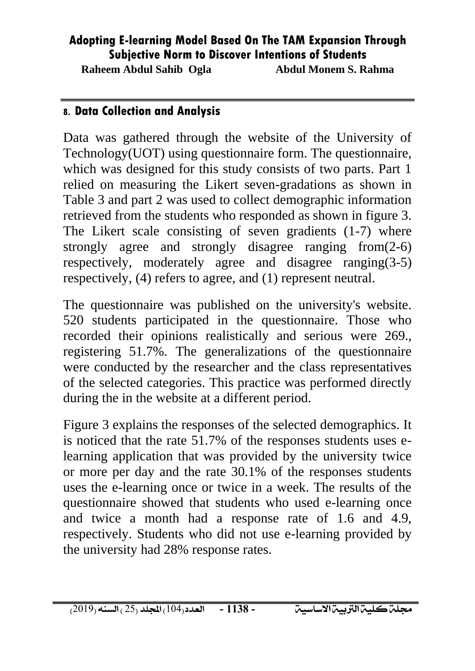**Raheem Abdul Sahib Ogla Abdul Monem S. Rahma**

#### **8. Data Collection and Analysis**

Data was gathered through the website of the University of Technology(UOT) using questionnaire form. The questionnaire, which was designed for this study consists of two parts. Part 1 relied on measuring the Likert seven-gradations as shown in Table 3 and part 2 was used to collect demographic information retrieved from the students who responded as shown in figure 3. The Likert scale consisting of seven gradients (1-7) where strongly agree and strongly disagree ranging from(2-6) respectively, moderately agree and disagree ranging(3-5) respectively, (4) refers to agree, and (1) represent neutral.

The questionnaire was published on the university's website. 520 students participated in the questionnaire. Those who recorded their opinions realistically and serious were 269., registering 51.7%. The generalizations of the questionnaire were conducted by the researcher and the class representatives of the selected categories. This practice was performed directly during the in the website at a different period.

Figure 3 explains the responses of the selected demographics. It is noticed that the rate 51.7% of the responses students uses elearning application that was provided by the university twice or more per day and the rate 30.1% of the responses students uses the e-learning once or twice in a week. The results of the questionnaire showed that students who used e-learning once and twice a month had a response rate of 1.6 and 4.9, respectively. Students who did not use e-learning provided by the university had 28% response rates.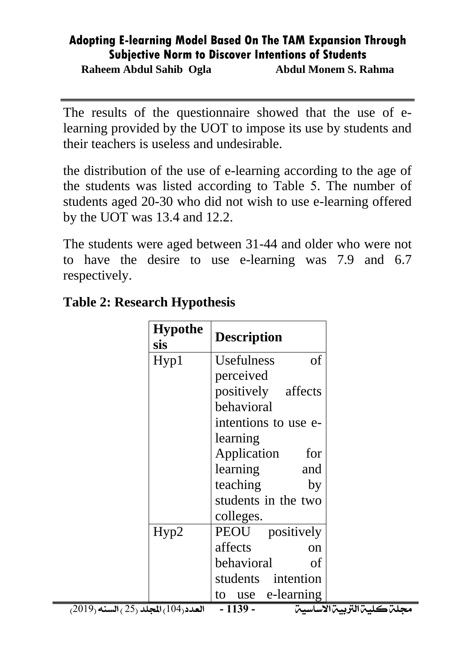**Raheem Abdul Sahib Ogla Abdul Monem S. Rahma**

The results of the questionnaire showed that the use of elearning provided by the UOT to impose its use by students and their teachers is useless and undesirable.

the distribution of the use of e-learning according to the age of the students was listed according to Table 5. The number of students aged 20-30 who did not wish to use e-learning offered by the UOT was 13.4 and 12.2.

The students were aged between 31-44 and older who were not to have the desire to use e-learning was 7.9 and 6.7 respectively.

| <b>Hypothe</b><br><b>sis</b>                        | <b>Description</b>                     |
|-----------------------------------------------------|----------------------------------------|
| Hyp1                                                | of<br><b>Usefulness</b>                |
|                                                     | perceived                              |
|                                                     | positively affects                     |
|                                                     | behavioral                             |
|                                                     | intentions to use e-                   |
|                                                     | learning                               |
|                                                     | Application<br>for                     |
|                                                     | learning<br>and                        |
|                                                     | teaching<br>by                         |
|                                                     | students in the two                    |
|                                                     | colleges.                              |
| Hyp2                                                | PEOU positively                        |
|                                                     | affects<br>on                          |
|                                                     | behavioral<br>of                       |
|                                                     | students intention                     |
|                                                     | to use e-learning                      |
| $(2019,$ العدد $(104)$ المجلد $(25)$ السنه $(2019)$ | مجلن كلين التربين الاساسين<br>$-1139-$ |

### **Table 2: Research Hypothesis**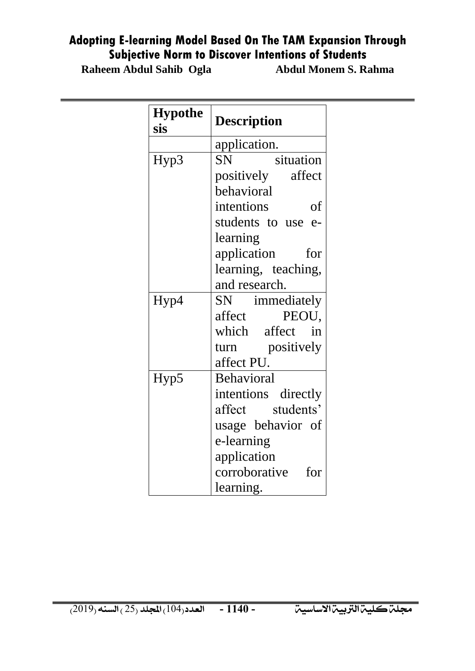**Raheem Abdul Sahib Ogla** 

| <b>Hypothe</b><br>sis | <b>Description</b>     |  |  |  |
|-----------------------|------------------------|--|--|--|
|                       | application.           |  |  |  |
| Hyp3                  | situation<br><b>SN</b> |  |  |  |
|                       | positively affect      |  |  |  |
|                       | behavioral             |  |  |  |
|                       | intentions<br>of       |  |  |  |
|                       | students to use e-     |  |  |  |
|                       | learning               |  |  |  |
|                       | application<br>for     |  |  |  |
|                       | learning, teaching,    |  |  |  |
|                       | and research.          |  |  |  |
| Hyp4                  | SN immediately         |  |  |  |
|                       | affect<br>PEOU,        |  |  |  |
|                       | which affect in        |  |  |  |
|                       | turn positively        |  |  |  |
|                       | affect PU.             |  |  |  |
| Hyp5                  | Behavioral             |  |  |  |
|                       | intentions directly    |  |  |  |
|                       | affect students'       |  |  |  |
|                       | usage behavior of      |  |  |  |
|                       | e-learning             |  |  |  |
|                       | application            |  |  |  |
|                       | corroborative<br>for   |  |  |  |
|                       | learning.              |  |  |  |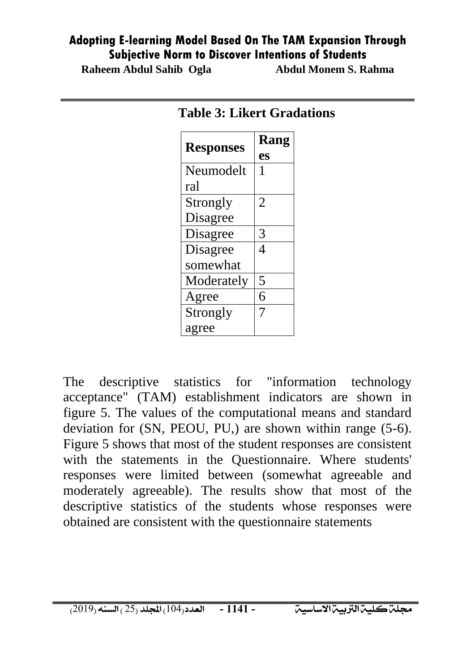**Raheem Abdul Sahib Ogla Abdul Monem S. Rahma**

| <b>Responses</b> | Rang |  |
|------------------|------|--|
|                  | es   |  |
| Neumodelt        | 1    |  |
| ral              |      |  |
| Strongly         | 2    |  |
| Disagree         |      |  |
| Disagree         | 3    |  |
| Disagree         | 4    |  |
| somewhat         |      |  |
| Moderately       | 5    |  |
| Agree            | 6    |  |
| Strongly         | 7    |  |
| agree            |      |  |

#### **Table 3: Likert Gradations**

The descriptive statistics for "information technology acceptance" (TAM) establishment indicators are shown in figure 5. The values of the computational means and standard deviation for (SN, PEOU, PU,) are shown within range (5-6). Figure 5 shows that most of the student responses are consistent with the statements in the Questionnaire. Where students' responses were limited between (somewhat agreeable and moderately agreeable). The results show that most of the descriptive statistics of the students whose responses were obtained are consistent with the questionnaire statements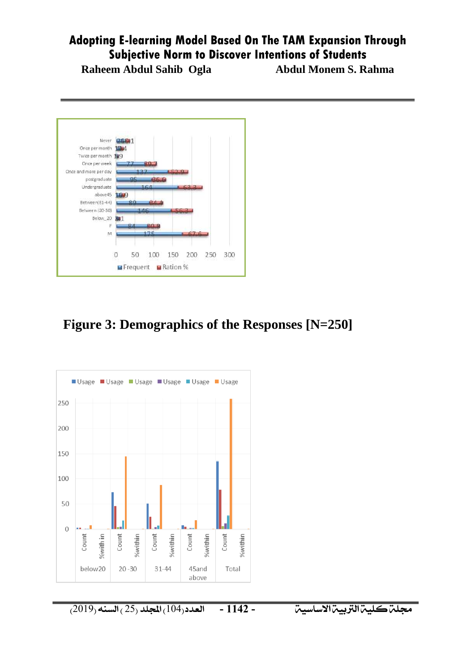**Raheem Abdul Sahib Ogla Abdul Monem S. Rahma**



## **Figure 3: Demographics of the Responses [N=250]**



جملةكلية الرتبية االساسية العدد)401( اجمللد )52 ( السنه )5042( **- 3311 -**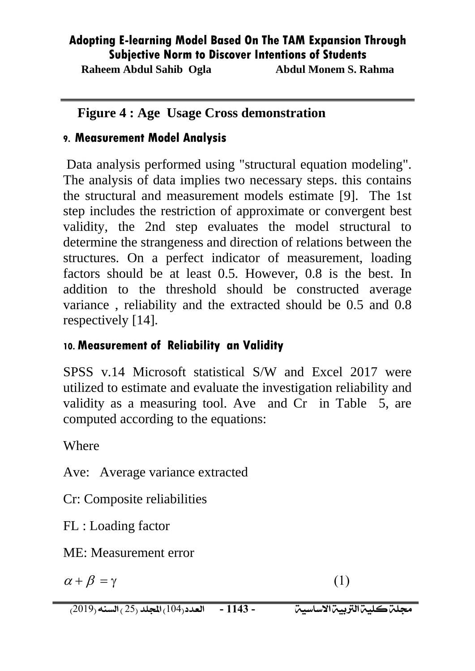**Raheem Abdul Sahib Ogla Abdul Monem S. Rahma**

## **Figure 4 : Age Usage Cross demonstration**

## **9. Measurement Model Analysis**

Data analysis performed using "structural equation modeling". The analysis of data implies two necessary steps. this contains the structural and measurement models estimate [9]. The 1st step includes the restriction of approximate or convergent best validity, the 2nd step evaluates the model structural to determine the strangeness and direction of relations between the structures. On a perfect indicator of measurement, loading factors should be at least 0.5. However, 0.8 is the best. In addition to the threshold should be constructed average variance , reliability and the extracted should be 0.5 and 0.8 respectively [14].

## **10. Measurement of Reliability an Validity**

SPSS v.14 Microsoft statistical S/W and Excel 2017 were utilized to estimate and evaluate the investigation reliability and validity as a measuring tool. Ave and Cr in Table 5, are computed according to the equations:

Where

Ave: Average variance extracted

Cr: Composite reliabilities

FL : Loading factor

ME: Measurement error

$$
\alpha + \beta = \gamma \tag{1}
$$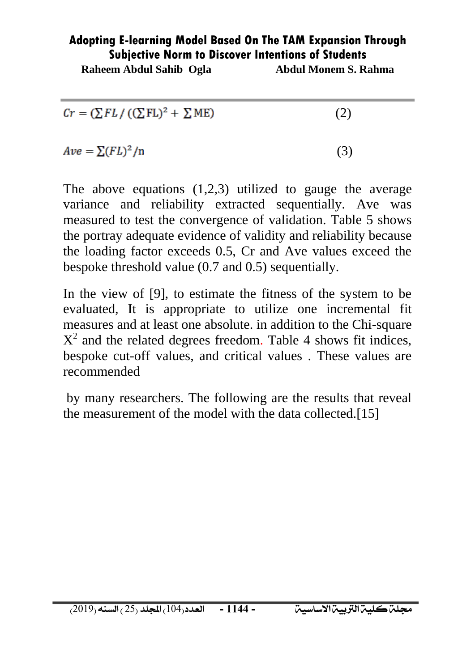**Raheem Abdul Sahib Ogla Abdul Monem S. Rahma**

| $Cr = (\sum FL / ((\sum FL)^2 + \sum ME)$ | (2) |
|-------------------------------------------|-----|
| $Ave = \sum (FL)^2/n$                     | (3) |

The above equations  $(1,2,3)$  utilized to gauge the average variance and reliability extracted sequentially. Ave was measured to test the convergence of validation. Table 5 shows the portray adequate evidence of validity and reliability because the loading factor exceeds 0.5, Cr and Ave values exceed the bespoke threshold value (0.7 and 0.5) sequentially.

In the view of [9], to estimate the fitness of the system to be evaluated, It is appropriate to utilize one incremental fit measures and at least one absolute. in addition to the Chi-square  $X^2$  and the related degrees freedom. Table 4 shows fit indices, bespoke cut-off values, and critical values . These values are recommended

by many researchers. The following are the results that reveal the measurement of the model with the data collected.[15]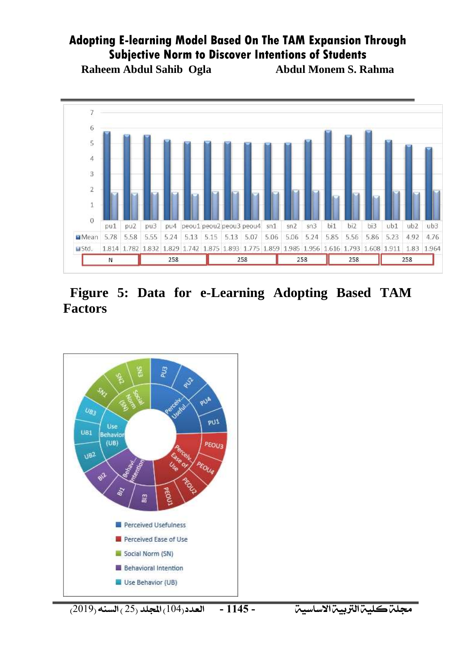**Raheem Abdul Sahib Ogla Abdul Monem S. Rahma**



 **Figure 5: Data for e-Learning Adopting Based TAM Factors**



جملةكلية الرتبية االساسية العدد)401( اجمللد )52 ( السنه )5042( **- 3311 -**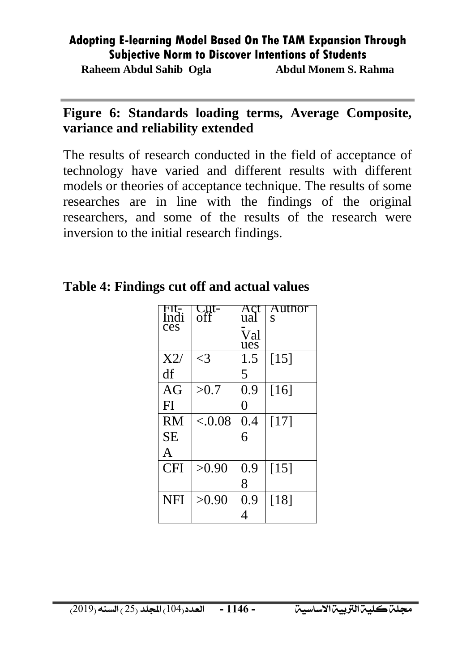**Raheem Abdul Sahib Ogla Abdul Monem S. Rahma**

### **Figure 6: Standards loading terms, Average Composite, variance and reliability extended**

The results of research conducted in the field of acceptance of technology have varied and different results with different models or theories of acceptance technique. The results of some researches are in line with the findings of the original researchers, and some of the results of the research were inversion to the initial research findings.

## **Table 4: Findings cut off and actual values**

| $F1\overline{F}$<br>Indi<br>ces | <b>Cut-</b><br>off | Act<br>ual<br>Val<br>ues | Author<br>S        |
|---------------------------------|--------------------|--------------------------|--------------------|
| X2/                             | ${<}3$             | 1.5                      | $\lceil 15 \rceil$ |
| df                              |                    | 5                        |                    |
| AG                              | >0.7               | 0.9                      | $[16]$             |
| FI                              |                    | $\Omega$                 |                    |
| <b>RM</b>                       | ${<}0.08$          | 0.4                      | [17]               |
| <b>SE</b>                       |                    | 6                        |                    |
| A                               |                    |                          |                    |
| <b>CFI</b>                      | >0.90              | 0.9                      | [15]               |
|                                 |                    | 8                        |                    |
| <b>NFI</b>                      | >0.90              | 0.9                      | [18]               |
|                                 |                    | 4                        |                    |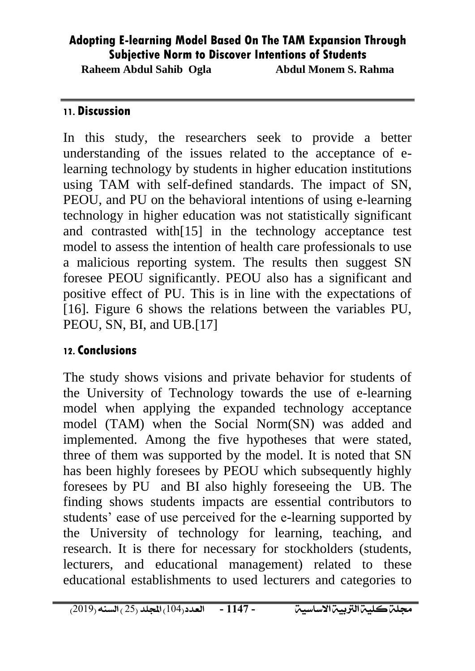**Raheem Abdul Sahib Ogla Abdul Monem S. Rahma**

#### **11. Discussion**

In this study, the researchers seek to provide a better understanding of the issues related to the acceptance of elearning technology by students in higher education institutions using TAM with self-defined standards. The impact of SN, PEOU, and PU on the behavioral intentions of using e-learning technology in higher education was not statistically significant and contrasted with[15] in the technology acceptance test model to assess the intention of health care professionals to use a malicious reporting system. The results then suggest SN foresee PEOU significantly. PEOU also has a significant and positive effect of PU. This is in line with the expectations of [16]. Figure 6 shows the relations between the variables PU, PEOU, SN, BI, and UB.[17]

#### **12. Conclusions**

The study shows visions and private behavior for students of the University of Technology towards the use of e-learning model when applying the expanded technology acceptance model (TAM) when the Social Norm(SN) was added and implemented. Among the five hypotheses that were stated, three of them was supported by the model. It is noted that SN has been highly foresees by PEOU which subsequently highly foresees by PU and BI also highly foreseeing the UB. The finding shows students impacts are essential contributors to students' ease of use perceived for the e-learning supported by the University of technology for learning, teaching, and research. It is there for necessary for stockholders (students, lecturers, and educational management) related to these educational establishments to used lecturers and categories to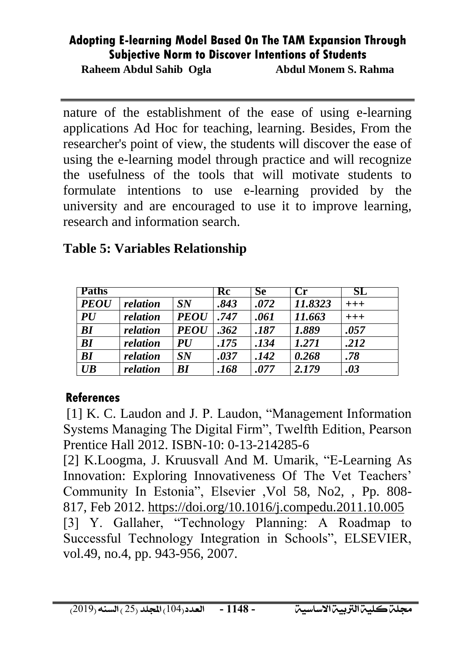**Raheem Abdul Sahib Ogla Abdul Monem S. Rahma**

nature of the establishment of the ease of using e-learning applications Ad Hoc for teaching, learning. Besides, From the researcher's point of view, the students will discover the ease of using the e-learning model through practice and will recognize the usefulness of the tools that will motivate students to formulate intentions to use e-learning provided by the university and are encouraged to use it to improve learning, research and information search.

| <b>Paths</b> |          |             | Rc   | <b>Se</b> | $\mathbf{Cr}$ | SL           |
|--------------|----------|-------------|------|-----------|---------------|--------------|
| <b>PEOU</b>  | relation | SN          | .843 | .072      | 11.8323       | $^{\rm +++}$ |
| PU           | relation | <b>PEOU</b> | .747 | .061      | 11.663        | $+++$        |
| BI           | relation | <b>PEOU</b> | .362 | .187      | 1.889         | .057         |
| BI           | relation | <b>PU</b>   | .175 | .134      | 1.271         | .212         |
| BI           | relation | SN          | .037 | .142      | 0.268         | .78          |
| UB           | relation | BI          | .168 | .077      | 2.179         | .03          |

## **Table 5: Variables Relationship**

## **References**

[1] K. C. Laudon and J. P. Laudon, "Management Information Systems Managing The Digital Firm", Twelfth Edition, Pearson Prentice Hall 2012. ISBN-10: 0-13-214285-6

[2] [K.Loogma, J. Kruusvall](https://www.sciencedirect.com/science/article/pii/S0360131511002491#!) And [M. Umarik,](https://www.sciencedirect.com/science/article/pii/S0360131511002491#!) "E-Learning As Innovation: Exploring Innovativeness Of The Vet Teachers' Community In Estonia", Elsevier [,Vol 58, No2,](https://www.sciencedirect.com/science/journal/03601315/58/2) , Pp. 808- 817, Feb 2012.<https://doi.org/10.1016/j.compedu.2011.10.005> [3] Y. Gallaher, "Technology Planning: A Roadmap to Successful Technology Integration in Schools", ELSEVIER, vol.49, no.4, pp. 943-956, 2007.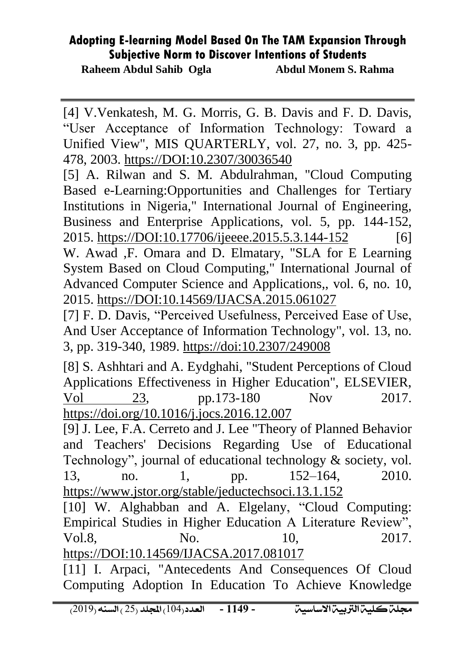**Raheem Abdul Sahib Ogla Abdul Monem S. Rahma**

[4] V.Venkatesh, M. G. Morris, G. B. Davis and F. D. Davis, "User Acceptance of Information Technology: Toward a Unified View", MIS QUARTERLY, vol. 27, no. 3, pp. 425- 478, 2003.<https://DOI:10.2307/30036540>

[5] A. Rilwan and S. M. Abdulrahman, "Cloud Computing Based e-Learning:Opportunities and Challenges for Tertiary Institutions in Nigeria," International Journal of Engineering, Business and Enterprise Applications, vol. 5, pp. 144-152, 2015.<https://DOI:10.17706/ijeeee.2015.5.3.144-152>[6] W. Awad ,F. [Omara](https://www.researchgate.net/profile/Fatma_Omara?_sg=0a8O1LeNA1OU7M6nvwoafrqzIsKQa3G7b7xJRDnFRQERHalV6Nnz0_HZCk1As7Bk4CdmN-M.yTAT_X7DGM61ObfVpiy6T78MjWVcr4xZ9wkodYiIcuLYdU7f4_dIzhux9UdYwgNo2KVbBhRB5yNSwu_v4NkLrA) and D. Elmatary, "SLA for E Learning System Based on Cloud Computing," International Journal of Advanced Computer Science and Applications,, vol. 6, no. 10, 2015[.](https://DOI:10.14569/IJACSA.2015.061027) <https://DOI:10.14569/IJACSA.2015.061027>

[7] F. D. Davis, "Perceived Usefulness, Perceived Ease of Use, And User Acceptance of Information Technology", vol. 13, no. 3, pp. 319-340, 1989.<https://doi:10.2307/249008>

[8] S. Ashhtari and A. Eydghahi, "Student Perceptions of Cloud Applications Effectiveness in Higher Education", ELSEVIER, [Vol 23,](https://www.sciencedirect.com/science/journal/18777503/23/supp/C) pp.173-180 Nov 2017. <https://doi.org/10.1016/j.jocs.2016.12.007>

[9] J. Lee, F.A. Cerreto and J. Lee "Theory of Planned Behavior and Teachers' Decisions Regarding Use of Educational Technology", journal of educational technology & society, vol. 13, no. 1, pp.  $152-164$ ,  $2010$ . <https://www.jstor.org/stable/jeductechsoci.13.1.152> [10] W. [Alghabban](https://www.researchgate.net/profile/Weam_Alghabban?_sg=HLJl_osifA0j9zscAVIIMnB0ehajidgmrMBqIDkfJKE04kRCTK356RSuKJXkh9hyJJjc_-Q.V5Xkjfr9lF0J35fUhldfzNyegms2Vqx_721JlROhp43QhcGgaBdmb1VfAzx0WH7NUuBO_BEMI1EUCXYG38wA4w) and A. [Elgelany,](https://www.researchgate.net/profile/Abusfian_Elgelany?_sg=HLJl_osifA0j9zscAVIIMnB0ehajidgmrMBqIDkfJKE04kRCTK356RSuKJXkh9hyJJjc_-Q.V5Xkjfr9lF0J35fUhldfzNyegms2Vqx_721JlROhp43QhcGgaBdmb1VfAzx0WH7NUuBO_BEMI1EUCXYG38wA4w) "Cloud Computing:

Empirical Studies in Higher Education A Literature Review", Vol.8, No. 10, 2017. <https://DOI:10.14569/IJACSA.2017.081017>

[11] I. Arpaci, "Antecedents And Consequences Of Cloud Computing Adoption In Education To Achieve Knowledge